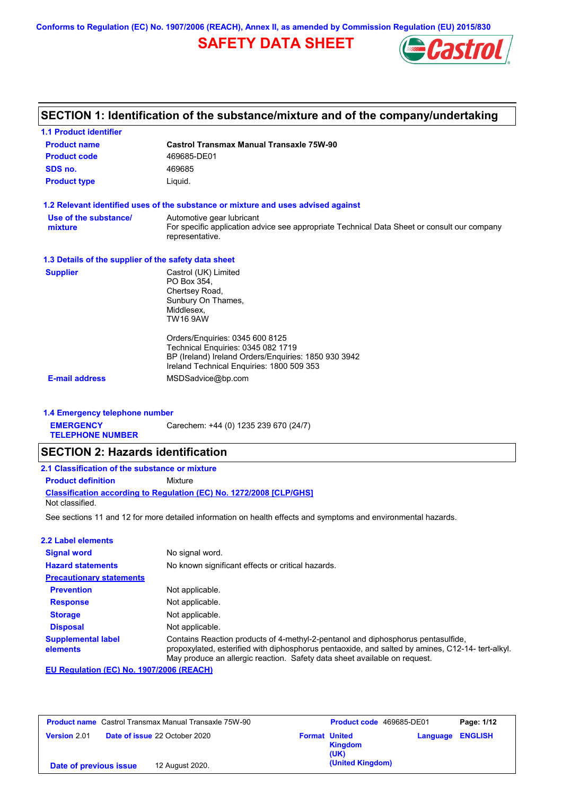**Conforms to Regulation (EC) No. 1907/2006 (REACH), Annex II, as amended by Commission Regulation (EU) 2015/830**

### **SAFETY DATA SHEET**



# **SECTION 1: Identification of the substance/mixture and of the company/undertaking**

| <b>1.1 Product identifier</b>                        |                                                                                                                                                                                                                                                                                                                 |
|------------------------------------------------------|-----------------------------------------------------------------------------------------------------------------------------------------------------------------------------------------------------------------------------------------------------------------------------------------------------------------|
| <b>Product name</b>                                  | <b>Castrol Transmax Manual Transaxle 75W-90</b>                                                                                                                                                                                                                                                                 |
| <b>Product code</b>                                  | 469685-DE01                                                                                                                                                                                                                                                                                                     |
| SDS no.                                              | 469685                                                                                                                                                                                                                                                                                                          |
| <b>Product type</b>                                  | Liquid.                                                                                                                                                                                                                                                                                                         |
|                                                      | 1.2 Relevant identified uses of the substance or mixture and uses advised against                                                                                                                                                                                                                               |
| Use of the substance/<br>mixture                     | Automotive gear lubricant<br>For specific application advice see appropriate Technical Data Sheet or consult our company<br>representative.                                                                                                                                                                     |
| 1.3 Details of the supplier of the safety data sheet |                                                                                                                                                                                                                                                                                                                 |
| <b>Supplier</b><br><b>E-mail address</b>             | Castrol (UK) Limited<br>PO Box 354,<br>Chertsey Road,<br>Sunbury On Thames,<br>Middlesex.<br><b>TW16 9AW</b><br>Orders/Enquiries: 0345 600 8125<br>Technical Enquiries: 0345 082 1719<br>BP (Ireland) Ireland Orders/Enquiries: 1850 930 3942<br>Ireland Technical Enquiries: 1800 509 353<br>MSDSadvice@bp.com |
| 1.4 Emergency telephone number                       |                                                                                                                                                                                                                                                                                                                 |
| <b>EMERGENCY</b><br><b>TELEPHONE NUMBER</b>          | Carechem: +44 (0) 1235 239 670 (24/7)                                                                                                                                                                                                                                                                           |
| <b>SECTION 2: Hazards identification</b>             |                                                                                                                                                                                                                                                                                                                 |
| 2.1 Classification of the substance or mixture       |                                                                                                                                                                                                                                                                                                                 |
| <b>Product definition</b>                            | Mixture                                                                                                                                                                                                                                                                                                         |
|                                                      | <b>Classification according to Regulation (EC) No. 1272/2008 [CLP/GHS]</b>                                                                                                                                                                                                                                      |

Not classified.

See sections 11 and 12 for more detailed information on health effects and symptoms and environmental hazards.

|  |  |  | <b>2.2 Label elements</b> |  |
|--|--|--|---------------------------|--|
|--|--|--|---------------------------|--|

| <b>Signal word</b><br><b>Hazard statements</b> | No signal word.<br>No known significant effects or critical hazards.                                                                                                                                                                                              |
|------------------------------------------------|-------------------------------------------------------------------------------------------------------------------------------------------------------------------------------------------------------------------------------------------------------------------|
| <b>Precautionary statements</b>                |                                                                                                                                                                                                                                                                   |
| <b>Prevention</b>                              | Not applicable.                                                                                                                                                                                                                                                   |
| <b>Response</b>                                | Not applicable.                                                                                                                                                                                                                                                   |
| <b>Storage</b>                                 | Not applicable.                                                                                                                                                                                                                                                   |
| <b>Disposal</b>                                | Not applicable.                                                                                                                                                                                                                                                   |
| <b>Supplemental label</b><br>elements          | Contains Reaction products of 4-methyl-2-pentanol and diphosphorus pentasulfide,<br>propoxylated, esterified with diphosphorus pentaoxide, and salted by amines, C12-14- tert-alkyl.<br>May produce an allergic reaction. Safety data sheet available on request. |

**EU Regulation (EC) No. 1907/2006 (REACH)**

| <b>Product name</b> Castrol Transmax Manual Transaxle 75W-90 | Product code 469685-DE01                                                  | Page: 1/12 |
|--------------------------------------------------------------|---------------------------------------------------------------------------|------------|
| <b>Date of issue 22 October 2020</b><br><b>Version 2.01</b>  | <b>Language ENGLISH</b><br><b>Format United</b><br><b>Kingdom</b><br>(UK) |            |
| 12 August 2020.<br>Date of previous issue                    | (United Kingdom)                                                          |            |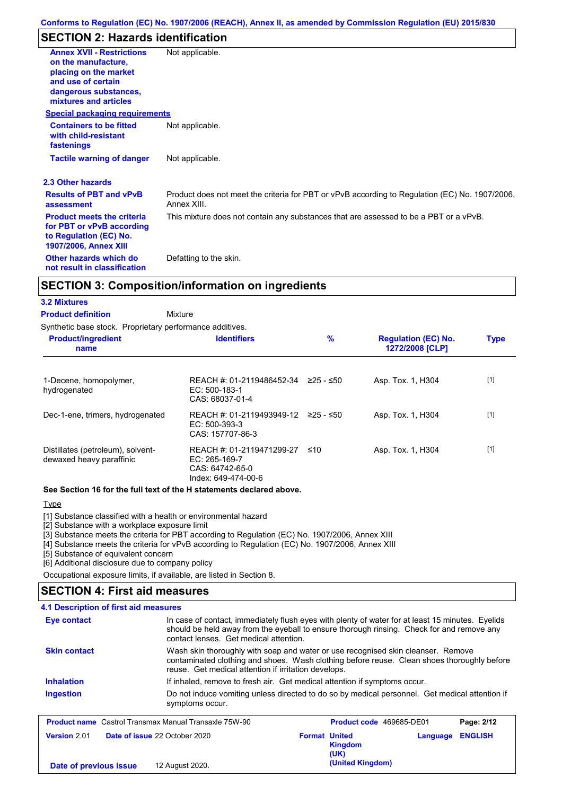### **SECTION 2: Hazards identification**

| <b>Annex XVII - Restrictions</b><br>on the manufacture.<br>placing on the market<br>and use of certain<br>dangerous substances,<br>mixtures and articles | Not applicable.                                                                                               |
|----------------------------------------------------------------------------------------------------------------------------------------------------------|---------------------------------------------------------------------------------------------------------------|
| <b>Special packaging requirements</b>                                                                                                                    |                                                                                                               |
| <b>Containers to be fitted</b><br>with child-resistant<br>fastenings                                                                                     | Not applicable.                                                                                               |
| <b>Tactile warning of danger</b>                                                                                                                         | Not applicable.                                                                                               |
| 2.3 Other hazards                                                                                                                                        |                                                                                                               |
| <b>Results of PBT and vPvB</b><br>assessment                                                                                                             | Product does not meet the criteria for PBT or vPvB according to Regulation (EC) No. 1907/2006,<br>Annex XIII. |
| <b>Product meets the criteria</b><br>for PBT or vPvB according<br>to Regulation (EC) No.<br><b>1907/2006, Annex XIII</b>                                 | This mixture does not contain any substances that are assessed to be a PBT or a vPvB.                         |
| Other hazards which do<br>not result in classification                                                                                                   | Defatting to the skin.                                                                                        |

### **SECTION 3: Composition/information on ingredients**

#### **3.2 Mixtures**

Mixture **Product definition**

| Synthetic base stock. Proprietary performance additives. |  |  |  |
|----------------------------------------------------------|--|--|--|
|                                                          |  |  |  |

| <b>Product/ingredient</b><br>name                             | <b>Identifiers</b>                                                                   | $\%$      | <b>Regulation (EC) No.</b><br>1272/2008 [CLP] | <b>Type</b> |
|---------------------------------------------------------------|--------------------------------------------------------------------------------------|-----------|-----------------------------------------------|-------------|
| 1-Decene, homopolymer,<br>hydrogenated                        | REACH #: 01-2119486452-34<br>$EC: 500-183-1$<br>CAS: 68037-01-4                      | ≥25 - ≤50 | Asp. Tox. 1, H304                             | $[1]$       |
| Dec-1-ene, trimers, hydrogenated                              | REACH #: 01-2119493949-12 ≥25 - ≤50<br>$EC: 500-393-3$<br>CAS: 157707-86-3           |           | Asp. Tox. 1, H304                             | $[1]$       |
| Distillates (petroleum), solvent-<br>dewaxed heavy paraffinic | REACH #: 01-2119471299-27<br>EC: 265-169-7<br>CAS: 64742-65-0<br>Index: 649-474-00-6 | ≤10       | Asp. Tox. 1, H304                             | $[1]$       |

#### **See Section 16 for the full text of the H statements declared above.**

#### **Type**

[1] Substance classified with a health or environmental hazard

[2] Substance with a workplace exposure limit

[3] Substance meets the criteria for PBT according to Regulation (EC) No. 1907/2006, Annex XIII

[4] Substance meets the criteria for vPvB according to Regulation (EC) No. 1907/2006, Annex XIII

[5] Substance of equivalent concern

[6] Additional disclosure due to company policy

Occupational exposure limits, if available, are listed in Section 8.

#### **SECTION 4: First aid measures**

| 4.1 Description of first aid measures |                                                              |                                                                                                                                                                                               |                            |
|---------------------------------------|--------------------------------------------------------------|-----------------------------------------------------------------------------------------------------------------------------------------------------------------------------------------------|----------------------------|
| Eye contact                           | contact lenses. Get medical attention.                       | In case of contact, immediately flush eyes with plenty of water for at least 15 minutes. Eyelids<br>should be held away from the eyeball to ensure thorough rinsing. Check for and remove any |                            |
| <b>Skin contact</b>                   | reuse. Get medical attention if irritation develops.         | Wash skin thoroughly with soap and water or use recognised skin cleanser. Remove<br>contaminated clothing and shoes. Wash clothing before reuse. Clean shoes thoroughly before                |                            |
| <b>Inhalation</b>                     |                                                              | If inhaled, remove to fresh air. Get medical attention if symptoms occur.                                                                                                                     |                            |
| <b>Ingestion</b>                      | symptoms occur.                                              | Do not induce vomiting unless directed to do so by medical personnel. Get medical attention if                                                                                                |                            |
|                                       | <b>Product name</b> Castrol Transmax Manual Transaxle 75W-90 | Product code 469685-DE01                                                                                                                                                                      | Page: 2/12                 |
| Version 2.01                          | Date of issue 22 October 2020                                | <b>Format United</b><br><b>Kingdom</b><br>(UK)                                                                                                                                                | <b>ENGLISH</b><br>Language |
|                                       |                                                              | (United Kingdom)                                                                                                                                                                              |                            |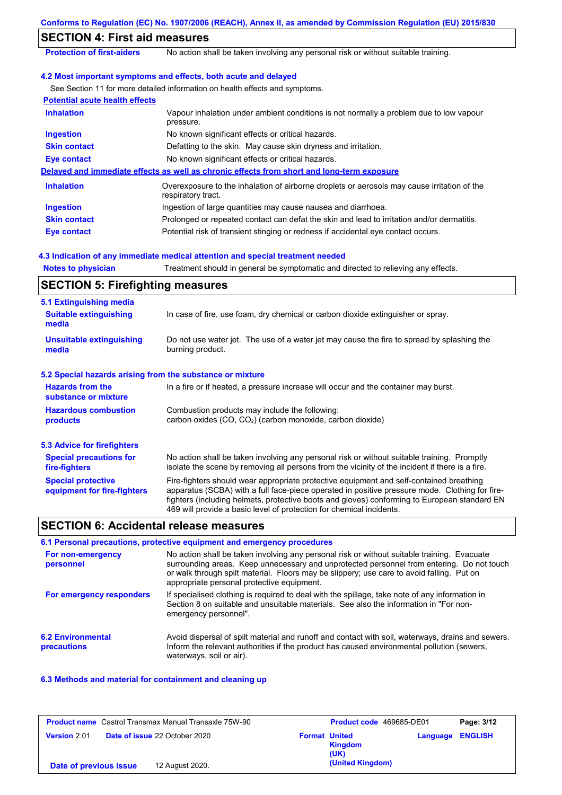|                                                           | Conforms to Regulation (EC) No. 1907/2006 (REACH), Annex II, as amended by Commission Regulation (EU) 2015/830                                                                                                                                                                                                                                                    |
|-----------------------------------------------------------|-------------------------------------------------------------------------------------------------------------------------------------------------------------------------------------------------------------------------------------------------------------------------------------------------------------------------------------------------------------------|
| <b>SECTION 4: First aid measures</b>                      |                                                                                                                                                                                                                                                                                                                                                                   |
| <b>Protection of first-aiders</b>                         | No action shall be taken involving any personal risk or without suitable training.                                                                                                                                                                                                                                                                                |
|                                                           | 4.2 Most important symptoms and effects, both acute and delayed                                                                                                                                                                                                                                                                                                   |
|                                                           | See Section 11 for more detailed information on health effects and symptoms.                                                                                                                                                                                                                                                                                      |
| <b>Potential acute health effects</b>                     |                                                                                                                                                                                                                                                                                                                                                                   |
| <b>Inhalation</b>                                         | Vapour inhalation under ambient conditions is not normally a problem due to low vapour<br>pressure.                                                                                                                                                                                                                                                               |
| <b>Ingestion</b>                                          | No known significant effects or critical hazards.                                                                                                                                                                                                                                                                                                                 |
| <b>Skin contact</b>                                       | Defatting to the skin. May cause skin dryness and irritation.                                                                                                                                                                                                                                                                                                     |
| <b>Eye contact</b>                                        | No known significant effects or critical hazards.                                                                                                                                                                                                                                                                                                                 |
|                                                           | Delayed and immediate effects as well as chronic effects from short and long-term exposure                                                                                                                                                                                                                                                                        |
| <b>Inhalation</b>                                         | Overexposure to the inhalation of airborne droplets or aerosols may cause irritation of the<br>respiratory tract.                                                                                                                                                                                                                                                 |
| <b>Ingestion</b>                                          | Ingestion of large quantities may cause nausea and diarrhoea.                                                                                                                                                                                                                                                                                                     |
| <b>Skin contact</b>                                       | Prolonged or repeated contact can defat the skin and lead to irritation and/or dermatitis.                                                                                                                                                                                                                                                                        |
| <b>Eye contact</b>                                        | Potential risk of transient stinging or redness if accidental eye contact occurs.                                                                                                                                                                                                                                                                                 |
|                                                           | 4.3 Indication of any immediate medical attention and special treatment needed                                                                                                                                                                                                                                                                                    |
| <b>Notes to physician</b>                                 | Treatment should in general be symptomatic and directed to relieving any effects.                                                                                                                                                                                                                                                                                 |
| <b>SECTION 5: Firefighting measures</b>                   |                                                                                                                                                                                                                                                                                                                                                                   |
| 5.1 Extinguishing media                                   |                                                                                                                                                                                                                                                                                                                                                                   |
| <b>Suitable extinguishing</b><br>media                    | In case of fire, use foam, dry chemical or carbon dioxide extinguisher or spray.                                                                                                                                                                                                                                                                                  |
| <b>Unsuitable extinguishing</b><br>media                  | Do not use water jet. The use of a water jet may cause the fire to spread by splashing the<br>burning product.                                                                                                                                                                                                                                                    |
| 5.2 Special hazards arising from the substance or mixture |                                                                                                                                                                                                                                                                                                                                                                   |
| <b>Hazards from the</b><br>substance or mixture           | In a fire or if heated, a pressure increase will occur and the container may burst.                                                                                                                                                                                                                                                                               |
| <b>Hazardous combustion</b><br>products                   | Combustion products may include the following:<br>carbon oxides (CO, CO <sub>2</sub> ) (carbon monoxide, carbon dioxide)                                                                                                                                                                                                                                          |
| <b>5.3 Advice for firefighters</b>                        |                                                                                                                                                                                                                                                                                                                                                                   |
| <b>Special precautions for</b><br>fire-fighters           | No action shall be taken involving any personal risk or without suitable training. Promptly<br>isolate the scene by removing all persons from the vicinity of the incident if there is a fire.                                                                                                                                                                    |
| <b>Special protective</b><br>equipment for fire-fighters  | Fire-fighters should wear appropriate protective equipment and self-contained breathing<br>apparatus (SCBA) with a full face-piece operated in positive pressure mode. Clothing for fire-<br>fighters (including helmets, protective boots and gloves) conforming to European standard EN<br>469 will provide a basic level of protection for chemical incidents. |
| <b>SECTION 6: Accidental release measures</b>             |                                                                                                                                                                                                                                                                                                                                                                   |
|                                                           | 6.1 Personal precautions, protective equipment and emergency procedures                                                                                                                                                                                                                                                                                           |
| For non-emergency<br>personnel                            | No action shall be taken involving any personal risk or without suitable training. Evacuate<br>surrounding areas. Keep unnecessary and unprotected personnel from entering. Do not touch<br>or walk through spilt material. Floors may be slippery; use care to avoid falling. Put on<br>appropriate personal protective equipment.                               |
|                                                           |                                                                                                                                                                                                                                                                                                                                                                   |

| For emergency responders | If specialised clothing is required to deal with the spillage, take note of any information in |
|--------------------------|------------------------------------------------------------------------------------------------|
|                          | Section 8 on suitable and unsuitable materials. See also the information in "For non-          |
|                          | emergency personnel".                                                                          |

| <b>6.2 Environmental</b> | Avoid dispersal of spilt material and runoff and contact with soil, waterways, drains and sewers. |
|--------------------------|---------------------------------------------------------------------------------------------------|
| precautions              | Inform the relevant authorities if the product has caused environmental pollution (sewers,        |
|                          | waterways, soil or air).                                                                          |

#### **6.3 Methods and material for containment and cleaning up**

| <b>Product name</b> Castrol Transmax Manual Transaxle 75W-90 |                                      | Product code 469685-DE01 |                        | Page: 3/12              |  |
|--------------------------------------------------------------|--------------------------------------|--------------------------|------------------------|-------------------------|--|
| <b>Version 2.01</b>                                          | <b>Date of issue 22 October 2020</b> | <b>Format United</b>     | <b>Kingdom</b><br>(UK) | <b>Language ENGLISH</b> |  |
| Date of previous issue                                       | 12 August 2020.                      |                          | (United Kingdom)       |                         |  |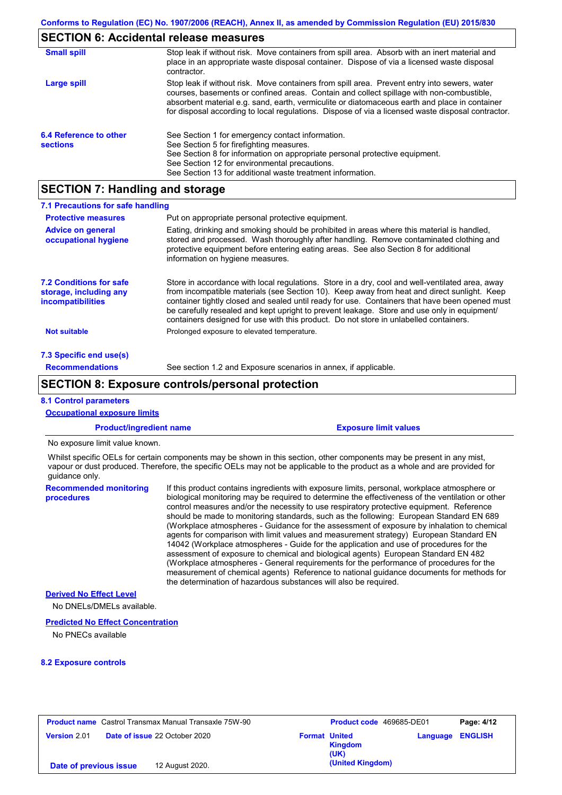# **SECTION 6: Accidental release measures**

| <b>Small spill</b>                        | Stop leak if without risk. Move containers from spill area. Absorb with an inert material and<br>place in an appropriate waste disposal container. Dispose of via a licensed waste disposal<br>contractor.                                                                                                                                                                                     |
|-------------------------------------------|------------------------------------------------------------------------------------------------------------------------------------------------------------------------------------------------------------------------------------------------------------------------------------------------------------------------------------------------------------------------------------------------|
| Large spill                               | Stop leak if without risk. Move containers from spill area. Prevent entry into sewers, water<br>courses, basements or confined areas. Contain and collect spillage with non-combustible,<br>absorbent material e.g. sand, earth, vermiculite or diatomaceous earth and place in container<br>for disposal according to local regulations. Dispose of via a licensed waste disposal contractor. |
| 6.4 Reference to other<br><b>sections</b> | See Section 1 for emergency contact information.<br>See Section 5 for firefighting measures.<br>See Section 8 for information on appropriate personal protective equipment.<br>See Section 12 for environmental precautions.<br>See Section 13 for additional waste treatment information.                                                                                                     |

# **SECTION 7: Handling and storage**

| 7.1 Precautions for safe handling                                                    |                                                                                                                                                                                                                                                                                                                                                                                                                                                                                          |
|--------------------------------------------------------------------------------------|------------------------------------------------------------------------------------------------------------------------------------------------------------------------------------------------------------------------------------------------------------------------------------------------------------------------------------------------------------------------------------------------------------------------------------------------------------------------------------------|
| <b>Protective measures</b>                                                           | Put on appropriate personal protective equipment.                                                                                                                                                                                                                                                                                                                                                                                                                                        |
| <b>Advice on general</b><br>occupational hygiene                                     | Eating, drinking and smoking should be prohibited in areas where this material is handled.<br>stored and processed. Wash thoroughly after handling. Remove contaminated clothing and<br>protective equipment before entering eating areas. See also Section 8 for additional<br>information on hygiene measures.                                                                                                                                                                         |
| <b>7.2 Conditions for safe</b><br>storage, including any<br><i>incompatibilities</i> | Store in accordance with local requiations. Store in a dry, cool and well-ventilated area, away<br>from incompatible materials (see Section 10). Keep away from heat and direct sunlight. Keep<br>container tightly closed and sealed until ready for use. Containers that have been opened must<br>be carefully resealed and kept upright to prevent leakage. Store and use only in equipment/<br>containers designed for use with this product. Do not store in unlabelled containers. |
| Not suitable                                                                         | Prolonged exposure to elevated temperature.                                                                                                                                                                                                                                                                                                                                                                                                                                              |
| 7.3 Specific end use(s)                                                              |                                                                                                                                                                                                                                                                                                                                                                                                                                                                                          |
| <b>Recommendations</b>                                                               | See section 1.2 and Exposure scenarios in annex, if applicable.                                                                                                                                                                                                                                                                                                                                                                                                                          |

### **SECTION 8: Exposure controls/personal protection**

#### **8.1 Control parameters**

| <b>Occupational exposure limits</b>         |                                                                                                                                                                                                                                                                                                                                                                                                                                                                                                                                                                                                                                                                                                                                                                                                                                                                                                                                                                                                                            |
|---------------------------------------------|----------------------------------------------------------------------------------------------------------------------------------------------------------------------------------------------------------------------------------------------------------------------------------------------------------------------------------------------------------------------------------------------------------------------------------------------------------------------------------------------------------------------------------------------------------------------------------------------------------------------------------------------------------------------------------------------------------------------------------------------------------------------------------------------------------------------------------------------------------------------------------------------------------------------------------------------------------------------------------------------------------------------------|
| <b>Product/ingredient name</b>              | <b>Exposure limit values</b>                                                                                                                                                                                                                                                                                                                                                                                                                                                                                                                                                                                                                                                                                                                                                                                                                                                                                                                                                                                               |
| No exposure limit value known.              |                                                                                                                                                                                                                                                                                                                                                                                                                                                                                                                                                                                                                                                                                                                                                                                                                                                                                                                                                                                                                            |
| quidance only.                              | Whilst specific OELs for certain components may be shown in this section, other components may be present in any mist,<br>vapour or dust produced. Therefore, the specific OELs may not be applicable to the product as a whole and are provided for                                                                                                                                                                                                                                                                                                                                                                                                                                                                                                                                                                                                                                                                                                                                                                       |
| <b>Recommended monitoring</b><br>procedures | If this product contains ingredients with exposure limits, personal, workplace atmosphere or<br>biological monitoring may be required to determine the effectiveness of the ventilation or other<br>control measures and/or the necessity to use respiratory protective equipment. Reference<br>should be made to monitoring standards, such as the following: European Standard EN 689<br>(Workplace atmospheres - Guidance for the assessment of exposure by inhalation to chemical<br>agents for comparison with limit values and measurement strategy) European Standard EN<br>14042 (Workplace atmospheres - Guide for the application and use of procedures for the<br>assessment of exposure to chemical and biological agents) European Standard EN 482<br>(Workplace atmospheres - General requirements for the performance of procedures for the<br>measurement of chemical agents) Reference to national guidance documents for methods for<br>the determination of hazardous substances will also be required. |
| <b>Derived No Effect Level</b>              |                                                                                                                                                                                                                                                                                                                                                                                                                                                                                                                                                                                                                                                                                                                                                                                                                                                                                                                                                                                                                            |
| No DNELs/DMELs available.                   |                                                                                                                                                                                                                                                                                                                                                                                                                                                                                                                                                                                                                                                                                                                                                                                                                                                                                                                                                                                                                            |

#### **Predicted No Effect Concentration**

No PNECs available

#### **8.2 Exposure controls**

|                        | <b>Product name</b> Castrol Transmax Manual Transaxle 75W-90 |                      | Product code 469685-DE01 |                         | Page: 4/12 |
|------------------------|--------------------------------------------------------------|----------------------|--------------------------|-------------------------|------------|
| <b>Version 2.01</b>    | <b>Date of issue 22 October 2020</b>                         | <b>Format United</b> | <b>Kingdom</b><br>(UK)   | <b>Language ENGLISH</b> |            |
| Date of previous issue | 12 August 2020.                                              |                      | (United Kingdom)         |                         |            |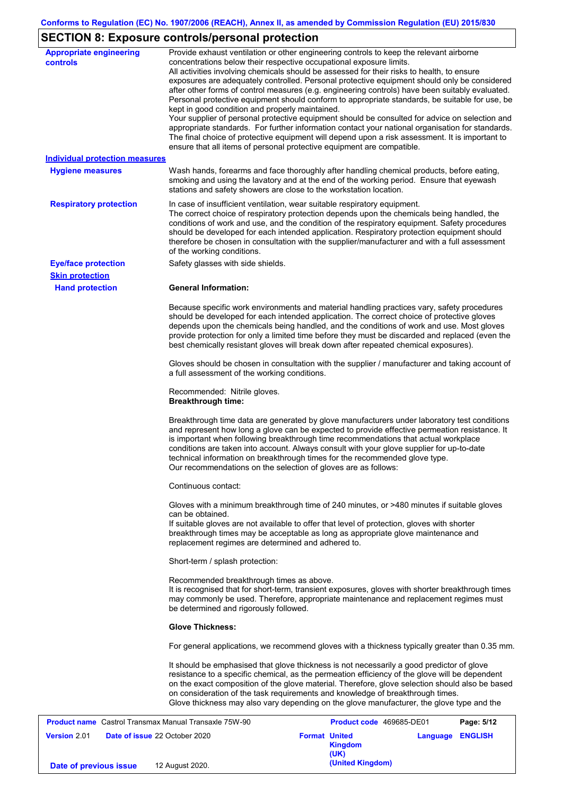# **SECTION 8: Exposure controls/personal protection**

| <b>Appropriate engineering</b>                               | Provide exhaust ventilation or other engineering controls to keep the relevant airborne                                                                                                                                                                                                                                                                                           |
|--------------------------------------------------------------|-----------------------------------------------------------------------------------------------------------------------------------------------------------------------------------------------------------------------------------------------------------------------------------------------------------------------------------------------------------------------------------|
| <b>controls</b>                                              | concentrations below their respective occupational exposure limits.<br>All activities involving chemicals should be assessed for their risks to health, to ensure                                                                                                                                                                                                                 |
|                                                              | exposures are adequately controlled. Personal protective equipment should only be considered                                                                                                                                                                                                                                                                                      |
|                                                              | after other forms of control measures (e.g. engineering controls) have been suitably evaluated.                                                                                                                                                                                                                                                                                   |
|                                                              | Personal protective equipment should conform to appropriate standards, be suitable for use, be<br>kept in good condition and properly maintained.                                                                                                                                                                                                                                 |
|                                                              | Your supplier of personal protective equipment should be consulted for advice on selection and                                                                                                                                                                                                                                                                                    |
|                                                              | appropriate standards. For further information contact your national organisation for standards.<br>The final choice of protective equipment will depend upon a risk assessment. It is important to                                                                                                                                                                               |
|                                                              | ensure that all items of personal protective equipment are compatible.                                                                                                                                                                                                                                                                                                            |
| <b>Individual protection measures</b>                        |                                                                                                                                                                                                                                                                                                                                                                                   |
| <b>Hygiene measures</b>                                      | Wash hands, forearms and face thoroughly after handling chemical products, before eating,                                                                                                                                                                                                                                                                                         |
|                                                              | smoking and using the lavatory and at the end of the working period. Ensure that eyewash<br>stations and safety showers are close to the workstation location.                                                                                                                                                                                                                    |
| <b>Respiratory protection</b>                                | In case of insufficient ventilation, wear suitable respiratory equipment.                                                                                                                                                                                                                                                                                                         |
|                                                              | The correct choice of respiratory protection depends upon the chemicals being handled, the<br>conditions of work and use, and the condition of the respiratory equipment. Safety procedures                                                                                                                                                                                       |
|                                                              | should be developed for each intended application. Respiratory protection equipment should                                                                                                                                                                                                                                                                                        |
|                                                              | therefore be chosen in consultation with the supplier/manufacturer and with a full assessment<br>of the working conditions.                                                                                                                                                                                                                                                       |
| <b>Eye/face protection</b>                                   | Safety glasses with side shields.                                                                                                                                                                                                                                                                                                                                                 |
| <b>Skin protection</b>                                       |                                                                                                                                                                                                                                                                                                                                                                                   |
| <b>Hand protection</b>                                       | <b>General Information:</b>                                                                                                                                                                                                                                                                                                                                                       |
|                                                              | Because specific work environments and material handling practices vary, safety procedures                                                                                                                                                                                                                                                                                        |
|                                                              | should be developed for each intended application. The correct choice of protective gloves                                                                                                                                                                                                                                                                                        |
|                                                              | depends upon the chemicals being handled, and the conditions of work and use. Most gloves<br>provide protection for only a limited time before they must be discarded and replaced (even the                                                                                                                                                                                      |
|                                                              | best chemically resistant gloves will break down after repeated chemical exposures).                                                                                                                                                                                                                                                                                              |
|                                                              | Gloves should be chosen in consultation with the supplier / manufacturer and taking account of                                                                                                                                                                                                                                                                                    |
|                                                              | a full assessment of the working conditions.                                                                                                                                                                                                                                                                                                                                      |
|                                                              | Recommended: Nitrile gloves.<br><b>Breakthrough time:</b>                                                                                                                                                                                                                                                                                                                         |
|                                                              | Breakthrough time data are generated by glove manufacturers under laboratory test conditions<br>and represent how long a glove can be expected to provide effective permeation resistance. It<br>is important when following breakthrough time recommendations that actual workplace<br>conditions are taken into account. Always consult with your glove supplier for up-to-date |
|                                                              | technical information on breakthrough times for the recommended glove type.<br>Our recommendations on the selection of gloves are as follows:                                                                                                                                                                                                                                     |
|                                                              | Continuous contact:                                                                                                                                                                                                                                                                                                                                                               |
|                                                              | Gloves with a minimum breakthrough time of 240 minutes, or >480 minutes if suitable gloves<br>can be obtained.                                                                                                                                                                                                                                                                    |
|                                                              | If suitable gloves are not available to offer that level of protection, gloves with shorter<br>breakthrough times may be acceptable as long as appropriate glove maintenance and<br>replacement regimes are determined and adhered to.                                                                                                                                            |
|                                                              | Short-term / splash protection:                                                                                                                                                                                                                                                                                                                                                   |
|                                                              | Recommended breakthrough times as above.                                                                                                                                                                                                                                                                                                                                          |
|                                                              | It is recognised that for short-term, transient exposures, gloves with shorter breakthrough times<br>may commonly be used. Therefore, appropriate maintenance and replacement regimes must<br>be determined and rigorously followed.                                                                                                                                              |
|                                                              | <b>Glove Thickness:</b>                                                                                                                                                                                                                                                                                                                                                           |
|                                                              | For general applications, we recommend gloves with a thickness typically greater than 0.35 mm.                                                                                                                                                                                                                                                                                    |
|                                                              | It should be emphasised that glove thickness is not necessarily a good predictor of glove                                                                                                                                                                                                                                                                                         |
|                                                              | resistance to a specific chemical, as the permeation efficiency of the glove will be dependent                                                                                                                                                                                                                                                                                    |
|                                                              | on the exact composition of the glove material. Therefore, glove selection should also be based<br>on consideration of the task requirements and knowledge of breakthrough times.                                                                                                                                                                                                 |
|                                                              | Glove thickness may also vary depending on the glove manufacturer, the glove type and the                                                                                                                                                                                                                                                                                         |
| <b>Product name</b> Castrol Transmax Manual Transaxle 75W-90 | Product code 469685-DE01<br>Page: 5/12                                                                                                                                                                                                                                                                                                                                            |

|                        | <b>Product name</b> Castrol Transmax Manual Transaxle 75W-90 |                      | <b>Product code</b> 469685-DE01 | Page: 5/12       |
|------------------------|--------------------------------------------------------------|----------------------|---------------------------------|------------------|
| <b>Version 2.01</b>    | <b>Date of issue 22 October 2020</b>                         | <b>Format United</b> | <b>Kingdom</b><br>(UK)          | Language ENGLISH |
| Date of previous issue | 12 August 2020.                                              |                      | (United Kingdom)                |                  |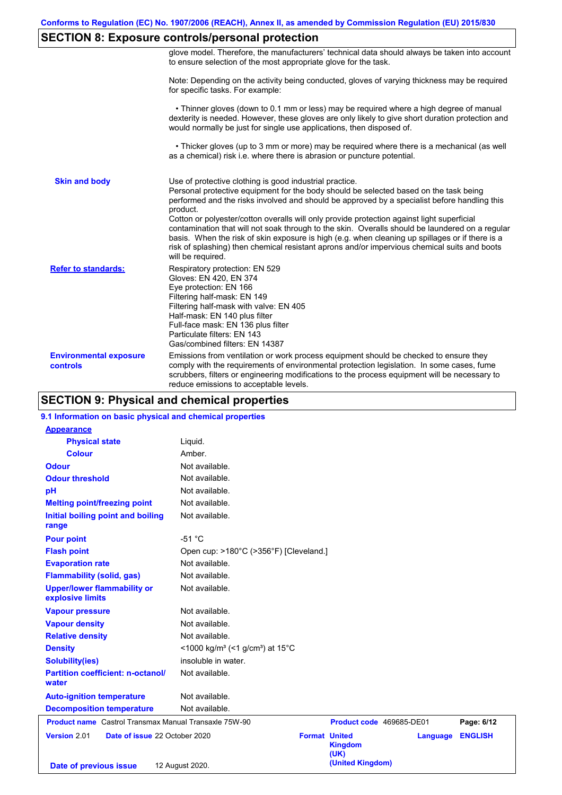### **SECTION 8: Exposure controls/personal protection**

|                                           | glove model. Therefore, the manufacturers' technical data should always be taken into account<br>to ensure selection of the most appropriate glove for the task.                                                                                                                                                                                                                                                                                                                                                                                                                                                                                                                      |
|-------------------------------------------|---------------------------------------------------------------------------------------------------------------------------------------------------------------------------------------------------------------------------------------------------------------------------------------------------------------------------------------------------------------------------------------------------------------------------------------------------------------------------------------------------------------------------------------------------------------------------------------------------------------------------------------------------------------------------------------|
|                                           | Note: Depending on the activity being conducted, gloves of varying thickness may be required<br>for specific tasks. For example:                                                                                                                                                                                                                                                                                                                                                                                                                                                                                                                                                      |
|                                           | • Thinner gloves (down to 0.1 mm or less) may be required where a high degree of manual<br>dexterity is needed. However, these gloves are only likely to give short duration protection and<br>would normally be just for single use applications, then disposed of.                                                                                                                                                                                                                                                                                                                                                                                                                  |
|                                           | • Thicker gloves (up to 3 mm or more) may be required where there is a mechanical (as well<br>as a chemical) risk i.e. where there is abrasion or puncture potential.                                                                                                                                                                                                                                                                                                                                                                                                                                                                                                                 |
| <b>Skin and body</b>                      | Use of protective clothing is good industrial practice.<br>Personal protective equipment for the body should be selected based on the task being<br>performed and the risks involved and should be approved by a specialist before handling this<br>product.<br>Cotton or polyester/cotton overalls will only provide protection against light superficial<br>contamination that will not soak through to the skin. Overalls should be laundered on a regular<br>basis. When the risk of skin exposure is high (e.g. when cleaning up spillages or if there is a<br>risk of splashing) then chemical resistant aprons and/or impervious chemical suits and boots<br>will be required. |
| <b>Refer to standards:</b>                | Respiratory protection: EN 529<br>Gloves: EN 420, EN 374<br>Eye protection: EN 166<br>Filtering half-mask: EN 149<br>Filtering half-mask with valve: EN 405<br>Half-mask: EN 140 plus filter<br>Full-face mask: EN 136 plus filter<br>Particulate filters: EN 143<br>Gas/combined filters: EN 14387                                                                                                                                                                                                                                                                                                                                                                                   |
| <b>Environmental exposure</b><br>controls | Emissions from ventilation or work process equipment should be checked to ensure they<br>comply with the requirements of environmental protection legislation. In some cases, fume<br>scrubbers, filters or engineering modifications to the process equipment will be necessary to<br>reduce emissions to acceptable levels.                                                                                                                                                                                                                                                                                                                                                         |

### **SECTION 9: Physical and chemical properties**

#### **9.1 Information on basic physical and chemical properties**

| <b>Appearance</b>                                            |                                                                      |                                                |          |                |
|--------------------------------------------------------------|----------------------------------------------------------------------|------------------------------------------------|----------|----------------|
| <b>Physical state</b>                                        | Liquid.                                                              |                                                |          |                |
| <b>Colour</b>                                                | Amber.                                                               |                                                |          |                |
| <b>Odour</b>                                                 | Not available.                                                       |                                                |          |                |
| <b>Odour threshold</b>                                       | Not available.                                                       |                                                |          |                |
| pH                                                           | Not available.                                                       |                                                |          |                |
| <b>Melting point/freezing point</b>                          | Not available.                                                       |                                                |          |                |
| Initial boiling point and boiling<br>range                   | Not available.                                                       |                                                |          |                |
| <b>Pour point</b>                                            | $-51 °C$                                                             |                                                |          |                |
| <b>Flash point</b>                                           | Open cup: >180°C (>356°F) [Cleveland.]                               |                                                |          |                |
| <b>Evaporation rate</b>                                      | Not available.                                                       |                                                |          |                |
| <b>Flammability (solid, gas)</b>                             | Not available.                                                       |                                                |          |                |
| <b>Upper/lower flammability or</b><br>explosive limits       | Not available.                                                       |                                                |          |                |
| <b>Vapour pressure</b>                                       | Not available.                                                       |                                                |          |                |
| <b>Vapour density</b>                                        | Not available.                                                       |                                                |          |                |
| <b>Relative density</b>                                      | Not available.                                                       |                                                |          |                |
| <b>Density</b>                                               | <1000 kg/m <sup>3</sup> (<1 g/cm <sup>3</sup> ) at 15 <sup>°</sup> C |                                                |          |                |
| <b>Solubility(ies)</b>                                       | insoluble in water.                                                  |                                                |          |                |
| <b>Partition coefficient: n-octanol/</b><br>water            | Not available.                                                       |                                                |          |                |
| <b>Auto-ignition temperature</b>                             | Not available.                                                       |                                                |          |                |
| <b>Decomposition temperature</b>                             | Not available.                                                       |                                                |          |                |
| <b>Product name</b> Castrol Transmax Manual Transaxle 75W-90 |                                                                      | Product code 469685-DE01                       |          | Page: 6/12     |
| Version 2.01<br>Date of issue 22 October 2020                |                                                                      | <b>Format United</b><br><b>Kingdom</b><br>(UK) | Language | <b>ENGLISH</b> |
| Date of previous issue                                       | 12 August 2020.                                                      | (United Kingdom)                               |          |                |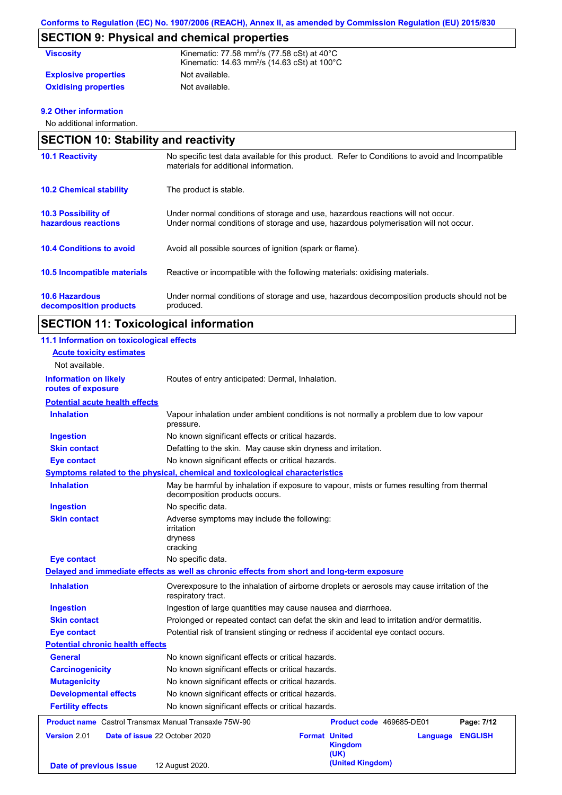# **SECTION 9: Physical and chemical properties**

| <b>Viscosity</b>            | Kinematic: 77.58 mm <sup>2</sup> /s (77.58 cSt) at $40^{\circ}$ C<br>Kinematic: $14.63$ mm <sup>2</sup> /s ( $14.63$ cSt) at $100^{\circ}$ C |
|-----------------------------|----------------------------------------------------------------------------------------------------------------------------------------------|
| <b>Explosive properties</b> | Not available.                                                                                                                               |
| <b>Oxidising properties</b> | Not available.                                                                                                                               |

#### **9.2 Other information**

No additional information.

| <b>SECTION 10: Stability and reactivity</b>       |                                                                                                                                                                         |
|---------------------------------------------------|-------------------------------------------------------------------------------------------------------------------------------------------------------------------------|
| <b>10.1 Reactivity</b>                            | No specific test data available for this product. Refer to Conditions to avoid and Incompatible<br>materials for additional information.                                |
| <b>10.2 Chemical stability</b>                    | The product is stable.                                                                                                                                                  |
| <b>10.3 Possibility of</b><br>hazardous reactions | Under normal conditions of storage and use, hazardous reactions will not occur.<br>Under normal conditions of storage and use, hazardous polymerisation will not occur. |
| <b>10.4 Conditions to avoid</b>                   | Avoid all possible sources of ignition (spark or flame).                                                                                                                |
| 10.5 Incompatible materials                       | Reactive or incompatible with the following materials: oxidising materials.                                                                                             |
| <b>10.6 Hazardous</b><br>decomposition products   | Under normal conditions of storage and use, hazardous decomposition products should not be<br>produced.                                                                 |

# **SECTION 11: Toxicological information**

| 11.1 Information on toxicological effects                    |                                                                                                                             |  |
|--------------------------------------------------------------|-----------------------------------------------------------------------------------------------------------------------------|--|
| <b>Acute toxicity estimates</b>                              |                                                                                                                             |  |
| Not available.                                               |                                                                                                                             |  |
| <b>Information on likely</b><br>routes of exposure           | Routes of entry anticipated: Dermal, Inhalation.                                                                            |  |
| <b>Potential acute health effects</b>                        |                                                                                                                             |  |
| <b>Inhalation</b>                                            | Vapour inhalation under ambient conditions is not normally a problem due to low vapour<br>pressure.                         |  |
| <b>Ingestion</b>                                             | No known significant effects or critical hazards.                                                                           |  |
| <b>Skin contact</b>                                          | Defatting to the skin. May cause skin dryness and irritation.                                                               |  |
| <b>Eye contact</b>                                           | No known significant effects or critical hazards.                                                                           |  |
|                                                              | Symptoms related to the physical, chemical and toxicological characteristics                                                |  |
| <b>Inhalation</b>                                            | May be harmful by inhalation if exposure to vapour, mists or fumes resulting from thermal<br>decomposition products occurs. |  |
| <b>Ingestion</b>                                             | No specific data.                                                                                                           |  |
| <b>Skin contact</b>                                          | Adverse symptoms may include the following:<br>irritation<br>dryness<br>cracking                                            |  |
| <b>Eye contact</b>                                           | No specific data.                                                                                                           |  |
|                                                              | Delayed and immediate effects as well as chronic effects from short and long-term exposure                                  |  |
| <b>Inhalation</b>                                            | Overexposure to the inhalation of airborne droplets or aerosols may cause irritation of the<br>respiratory tract.           |  |
| <b>Ingestion</b>                                             | Ingestion of large quantities may cause nausea and diarrhoea.                                                               |  |
| <b>Skin contact</b>                                          | Prolonged or repeated contact can defat the skin and lead to irritation and/or dermatitis.                                  |  |
| <b>Eye contact</b>                                           | Potential risk of transient stinging or redness if accidental eye contact occurs.                                           |  |
| <b>Potential chronic health effects</b>                      |                                                                                                                             |  |
| General                                                      | No known significant effects or critical hazards.                                                                           |  |
| <b>Carcinogenicity</b>                                       | No known significant effects or critical hazards.                                                                           |  |
| <b>Mutagenicity</b>                                          | No known significant effects or critical hazards.                                                                           |  |
| <b>Developmental effects</b>                                 | No known significant effects or critical hazards.                                                                           |  |
| <b>Fertility effects</b>                                     | No known significant effects or critical hazards.                                                                           |  |
| <b>Product name</b> Castrol Transmax Manual Transaxle 75W-90 | Product code 469685-DE01<br>Page: 7/12                                                                                      |  |
| Version 2.01                                                 | Date of issue 22 October 2020<br><b>Format United</b><br><b>ENGLISH</b><br>Language<br><b>Kingdom</b><br>(UK)               |  |
| Date of previous issue                                       | (United Kingdom)<br>12 August 2020.                                                                                         |  |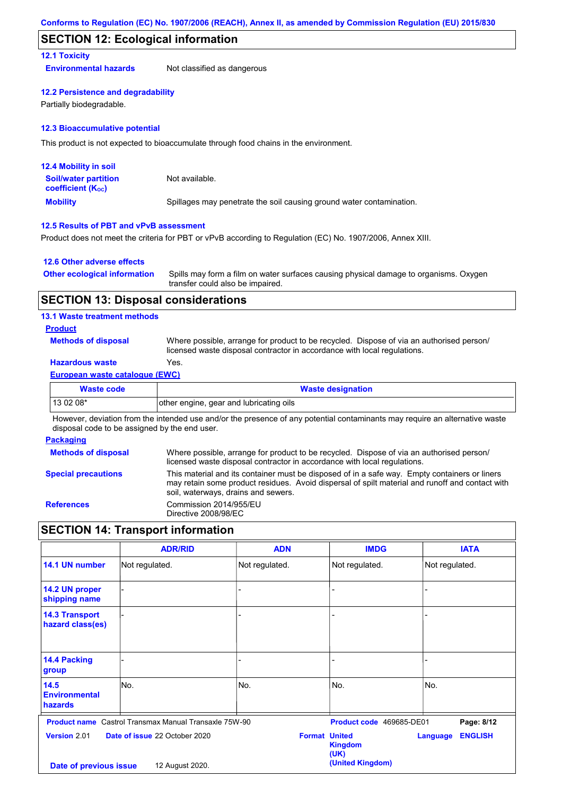#### **SECTION 12: Ecological information**

#### **12.1 Toxicity**

**Environmental hazards** Not classified as dangerous

#### **12.2 Persistence and degradability**

Partially biodegradable.

#### **12.3 Bioaccumulative potential**

This product is not expected to bioaccumulate through food chains in the environment.

| <b>12.4 Mobility in soil</b>                                  |                                                                      |
|---------------------------------------------------------------|----------------------------------------------------------------------|
| <b>Soil/water partition</b><br>coefficient (K <sub>oc</sub> ) | Not available.                                                       |
| <b>Mobility</b>                                               | Spillages may penetrate the soil causing ground water contamination. |

#### **12.5 Results of PBT and vPvB assessment**

Product does not meet the criteria for PBT or vPvB according to Regulation (EC) No. 1907/2006, Annex XIII.

#### **12.6 Other adverse effects**

| <b>Other ecological information</b> | Spills may form a film on water surfaces causing physical damage to organisms. Oxygen |
|-------------------------------------|---------------------------------------------------------------------------------------|
|                                     | transfer could also be impaired.                                                      |

#### **SECTION 13: Disposal considerations**

#### **13.1 Waste treatment methods**

#### **Product**

**Methods of disposal**

Where possible, arrange for product to be recycled. Dispose of via an authorised person/ licensed waste disposal contractor in accordance with local regulations.

#### **Hazardous waste** Yes.

#### **European waste catalogue (EWC)**

| <b>Waste code</b> | <b>Waste designation</b>                |
|-------------------|-----------------------------------------|
| $130208*$         | other engine, gear and lubricating oils |
| .<br>.            | .<br>.<br>$\cdots$                      |

However, deviation from the intended use and/or the presence of any potential contaminants may require an alternative waste disposal code to be assigned by the end user.

#### **Packaging**

| <b>Methods of disposal</b> | Where possible, arrange for product to be recycled. Dispose of via an authorised person/                                                                                                                                                |
|----------------------------|-----------------------------------------------------------------------------------------------------------------------------------------------------------------------------------------------------------------------------------------|
|                            | licensed waste disposal contractor in accordance with local regulations.                                                                                                                                                                |
| <b>Special precautions</b> | This material and its container must be disposed of in a safe way. Empty containers or liners<br>may retain some product residues. Avoid dispersal of spilt material and runoff and contact with<br>soil, waterways, drains and sewers. |
| <b>References</b>          | Commission 2014/955/EU<br>Directive 2008/98/EC                                                                                                                                                                                          |

### **SECTION 14: Transport information**

|                                           | <b>ADR/RID</b>                                               | <b>ADN</b>           | <b>IMDG</b>              | <b>IATA</b>                       |
|-------------------------------------------|--------------------------------------------------------------|----------------------|--------------------------|-----------------------------------|
| 14.1 UN number                            | Not regulated.                                               | Not regulated.       | Not regulated.           | Not regulated.                    |
| 14.2 UN proper<br>shipping name           |                                                              | L.                   |                          |                                   |
| <b>14.3 Transport</b><br>hazard class(es) |                                                              |                      |                          |                                   |
| 14.4 Packing<br>group                     |                                                              |                      |                          |                                   |
| 14.5<br><b>Environmental</b><br>hazards   | No.                                                          | No.                  | No.                      | No.                               |
|                                           | <b>Product name</b> Castrol Transmax Manual Transaxle 75W-90 |                      | Product code 469685-DE01 | Page: 8/12                        |
| Version 2.01                              | Date of issue 22 October 2020                                | <b>Format United</b> | <b>Kingdom</b><br>(UK)   | <b>ENGLISH</b><br><b>Language</b> |
| Date of previous issue                    | 12 August 2020.                                              |                      | (United Kingdom)         |                                   |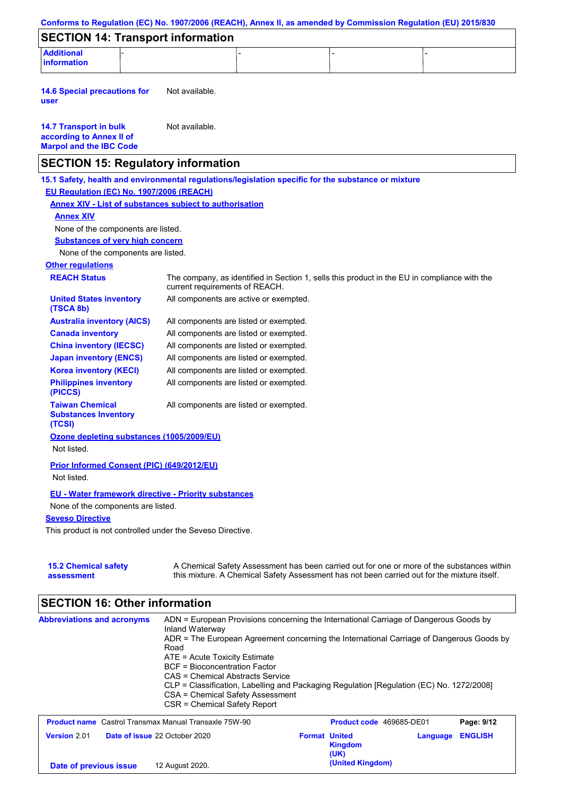|                                                                                                   | Conforms to Regulation (EC) No. 1907/2006 (REACH), Annex II, as amended by Commission Regulation (EU) 2015/830                                                                            |
|---------------------------------------------------------------------------------------------------|-------------------------------------------------------------------------------------------------------------------------------------------------------------------------------------------|
| <b>SECTION 14: Transport information</b>                                                          |                                                                                                                                                                                           |
| <b>Additional</b><br>information                                                                  |                                                                                                                                                                                           |
| <b>14.6 Special precautions for</b><br>user                                                       | Not available.                                                                                                                                                                            |
| <b>14.7 Transport in bulk</b><br>according to Annex II of<br><b>Marpol and the IBC Code</b>       | Not available.                                                                                                                                                                            |
| <b>SECTION 15: Regulatory information</b>                                                         |                                                                                                                                                                                           |
|                                                                                                   | 15.1 Safety, health and environmental regulations/legislation specific for the substance or mixture                                                                                       |
| EU Regulation (EC) No. 1907/2006 (REACH)                                                          |                                                                                                                                                                                           |
| <b>Annex XIV - List of substances subject to authorisation</b>                                    |                                                                                                                                                                                           |
| <b>Annex XIV</b>                                                                                  |                                                                                                                                                                                           |
| None of the components are listed.                                                                |                                                                                                                                                                                           |
| <b>Substances of very high concern</b>                                                            |                                                                                                                                                                                           |
| None of the components are listed.                                                                |                                                                                                                                                                                           |
| <b>Other regulations</b>                                                                          |                                                                                                                                                                                           |
| <b>REACH Status</b>                                                                               | The company, as identified in Section 1, sells this product in the EU in compliance with the<br>current requirements of REACH.                                                            |
| <b>United States inventory</b><br>(TSCA 8b)                                                       | All components are active or exempted.                                                                                                                                                    |
| <b>Australia inventory (AICS)</b>                                                                 | All components are listed or exempted.                                                                                                                                                    |
| <b>Canada inventory</b>                                                                           | All components are listed or exempted.                                                                                                                                                    |
| <b>China inventory (IECSC)</b>                                                                    | All components are listed or exempted.                                                                                                                                                    |
| <b>Japan inventory (ENCS)</b>                                                                     | All components are listed or exempted.                                                                                                                                                    |
| <b>Korea inventory (KECI)</b>                                                                     | All components are listed or exempted.                                                                                                                                                    |
| <b>Philippines inventory</b><br>(PICCS)                                                           | All components are listed or exempted.                                                                                                                                                    |
| <b>Taiwan Chemical</b><br><b>Substances Inventory</b><br>(TCSI)                                   | All components are listed or exempted.                                                                                                                                                    |
| Ozone depleting substances (1005/2009/EU)<br>Not listed.                                          |                                                                                                                                                                                           |
| Prior Informed Consent (PIC) (649/2012/EU)<br>Not listed.                                         |                                                                                                                                                                                           |
| <b>EU - Water framework directive - Priority substances</b><br>None of the components are listed. |                                                                                                                                                                                           |
| <b>Seveso Directive</b>                                                                           |                                                                                                                                                                                           |
| This product is not controlled under the Seveso Directive.                                        |                                                                                                                                                                                           |
| <b>15.2 Chemical safety</b><br>assessment                                                         | A Chemical Safety Assessment has been carried out for one or more of the substances within<br>this mixture. A Chemical Safety Assessment has not been carried out for the mixture itself. |
| <b>SECTION 16: Other information</b>                                                              |                                                                                                                                                                                           |

| <b>Abbreviations and acronyms</b>                            | ADN = European Provisions concerning the International Carriage of Dangerous Goods by<br>Inland Waterway<br>ADR = The European Agreement concerning the International Carriage of Dangerous Goods by<br>Road<br>$ATE = Acute Toxicity Estimate$<br>BCF = Bioconcentration Factor<br>CAS = Chemical Abstracts Service<br>CLP = Classification, Labelling and Packaging Regulation [Regulation (EC) No. 1272/2008]<br>CSA = Chemical Safety Assessment<br>CSR = Chemical Safety Report |                      |                          |          |                |
|--------------------------------------------------------------|--------------------------------------------------------------------------------------------------------------------------------------------------------------------------------------------------------------------------------------------------------------------------------------------------------------------------------------------------------------------------------------------------------------------------------------------------------------------------------------|----------------------|--------------------------|----------|----------------|
| <b>Product name</b> Castrol Transmax Manual Transaxle 75W-90 |                                                                                                                                                                                                                                                                                                                                                                                                                                                                                      |                      | Product code 469685-DE01 |          | Page: 9/12     |
| Version 2.01<br>Date of issue 22 October 2020                |                                                                                                                                                                                                                                                                                                                                                                                                                                                                                      | <b>Format United</b> | <b>Kingdom</b><br>(UK)   | Language | <b>ENGLISH</b> |
| Date of previous issue                                       | 12 August 2020.                                                                                                                                                                                                                                                                                                                                                                                                                                                                      |                      | (United Kingdom)         |          |                |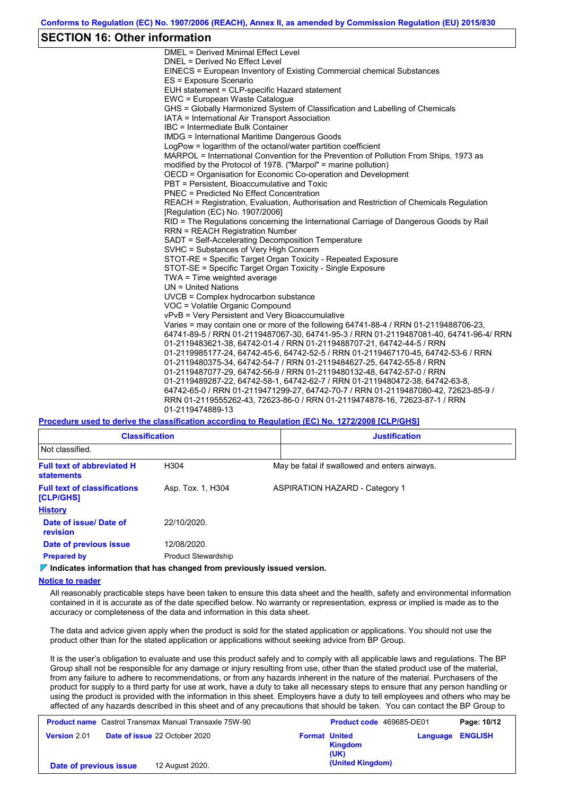#### **SECTION 16: Other information**

DMEL = Derived Minimal Effect Level DNEL = Derived No Effect Level EINECS = European Inventory of Existing Commercial chemical Substances ES = Exposure Scenario EUH statement = CLP-specific Hazard statement EWC = European Waste Catalogue GHS = Globally Harmonized System of Classification and Labelling of Chemicals IATA = International Air Transport Association IBC = Intermediate Bulk Container IMDG = International Maritime Dangerous Goods LogPow = logarithm of the octanol/water partition coefficient MARPOL = International Convention for the Prevention of Pollution From Ships, 1973 as modified by the Protocol of 1978. ("Marpol" = marine pollution) OECD = Organisation for Economic Co-operation and Development PBT = Persistent, Bioaccumulative and Toxic PNEC = Predicted No Effect Concentration REACH = Registration, Evaluation, Authorisation and Restriction of Chemicals Regulation [Regulation (EC) No. 1907/2006] RID = The Regulations concerning the International Carriage of Dangerous Goods by Rail RRN = REACH Registration Number SADT = Self-Accelerating Decomposition Temperature SVHC = Substances of Very High Concern STOT-RE = Specific Target Organ Toxicity - Repeated Exposure STOT-SE = Specific Target Organ Toxicity - Single Exposure TWA = Time weighted average UN = United Nations UVCB = Complex hydrocarbon substance VOC = Volatile Organic Compound vPvB = Very Persistent and Very Bioaccumulative Varies = may contain one or more of the following 64741-88-4 / RRN 01-2119488706-23, 64741-89-5 / RRN 01-2119487067-30, 64741-95-3 / RRN 01-2119487081-40, 64741-96-4/ RRN 01-2119483621-38, 64742-01-4 / RRN 01-2119488707-21, 64742-44-5 / RRN 01-2119985177-24, 64742-45-6, 64742-52-5 / RRN 01-2119467170-45, 64742-53-6 / RRN 01-2119480375-34, 64742-54-7 / RRN 01-2119484627-25, 64742-55-8 / RRN 01-2119487077-29, 64742-56-9 / RRN 01-2119480132-48, 64742-57-0 / RRN 01-2119489287-22, 64742-58-1, 64742-62-7 / RRN 01-2119480472-38, 64742-63-8, 64742-65-0 / RRN 01-2119471299-27, 64742-70-7 / RRN 01-2119487080-42, 72623-85-9 / RRN 01-2119555262-43, 72623-86-0 / RRN 01-2119474878-16, 72623-87-1 / RRN 01-2119474889-13

#### **Procedure used to derive the classification according to Regulation (EC) No. 1272/2008 [CLP/GHS]**

| <b>Classification</b>                                  |                            | <b>Justification</b>                          |
|--------------------------------------------------------|----------------------------|-----------------------------------------------|
| Not classified.                                        |                            |                                               |
| <b>Full text of abbreviated H</b><br><b>statements</b> | H304                       | May be fatal if swallowed and enters airways. |
| <b>Full text of classifications</b><br>[CLP/GHS]       | Asp. Tox. 1, H304          | ASPIRATION HAZARD - Category 1                |
| <b>History</b>                                         |                            |                                               |
| Date of issue/Date of<br>revision                      | 22/10/2020.                |                                               |
| Date of previous issue                                 | 12/08/2020.                |                                               |
| <b>Prepared by</b>                                     | <b>Product Stewardship</b> |                                               |

**Indicates information that has changed from previously issued version.**

**Notice to reader**

All reasonably practicable steps have been taken to ensure this data sheet and the health, safety and environmental information contained in it is accurate as of the date specified below. No warranty or representation, express or implied is made as to the accuracy or completeness of the data and information in this data sheet.

The data and advice given apply when the product is sold for the stated application or applications. You should not use the product other than for the stated application or applications without seeking advice from BP Group.

It is the user's obligation to evaluate and use this product safely and to comply with all applicable laws and regulations. The BP Group shall not be responsible for any damage or injury resulting from use, other than the stated product use of the material, from any failure to adhere to recommendations, or from any hazards inherent in the nature of the material. Purchasers of the product for supply to a third party for use at work, have a duty to take all necessary steps to ensure that any person handling or using the product is provided with the information in this sheet. Employers have a duty to tell employees and others who may be affected of any hazards described in this sheet and of any precautions that should be taken. You can contact the BP Group to

|                        | <b>Product name</b> Castrol Transmax Manual Transaxle 75W-90 | <b>Product code</b> 469685-DE01                | Page: 10/12             |
|------------------------|--------------------------------------------------------------|------------------------------------------------|-------------------------|
| <b>Version 2.01</b>    | <b>Date of issue 22 October 2020</b>                         | <b>Format United</b><br><b>Kingdom</b><br>(UK) | <b>Language ENGLISH</b> |
| Date of previous issue | 12 August 2020.                                              | (United Kingdom)                               |                         |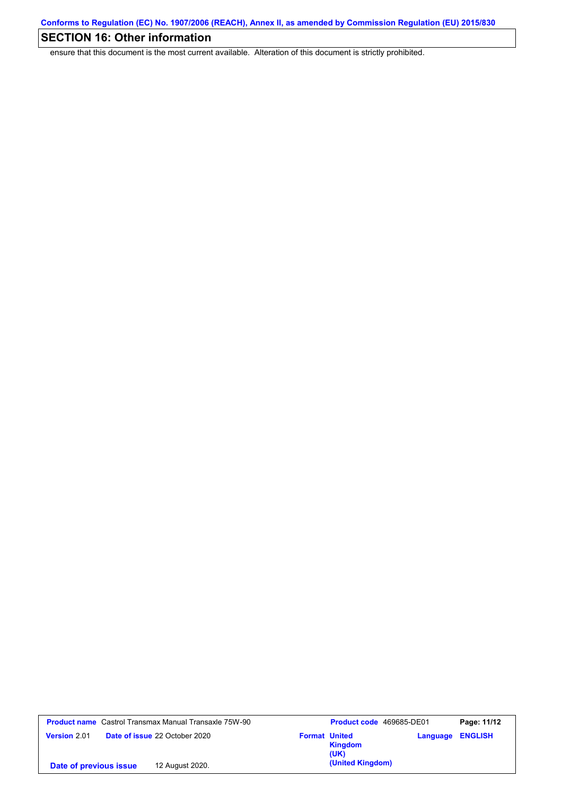# **SECTION 16: Other information**

ensure that this document is the most current available. Alteration of this document is strictly prohibited.

| <b>Product name</b> Castrol Transmax Manual Transaxle 75W-90 | <b>Product code</b> 469685-DE01         |                         | Page: 11/12 |
|--------------------------------------------------------------|-----------------------------------------|-------------------------|-------------|
| <b>Date of issue 22 October 2020</b><br><b>Version 2.01</b>  | <b>Format United</b><br>Kingdom<br>(UK) | <b>Language ENGLISH</b> |             |
| 12 August 2020.<br>Date of previous issue                    | (United Kingdom)                        |                         |             |